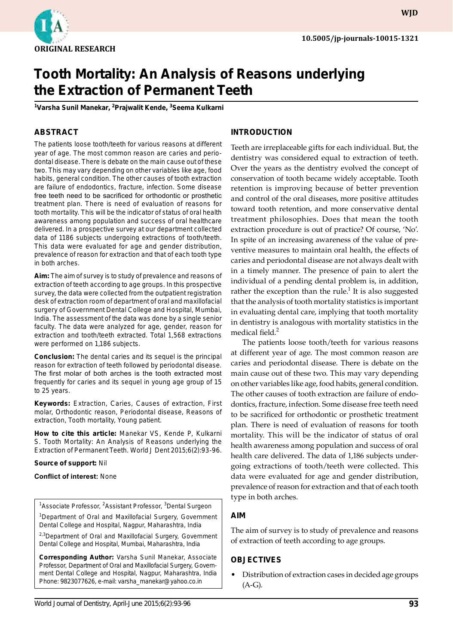

# **Tooth Mortality: An Analysis of Reasons underlying the Extraction of Permanent Teeth**

<sup>1</sup>Varsha Sunil Manekar, <sup>2</sup>Prajwalit Kende, <sup>3</sup>Seema Kulkarni

## **ABSTRACT**

The patients loose tooth/teeth for various reasons at different year of age. The most common reason are caries and periodontal disease. There is debate on the main cause out of these two. This may vary depending on other variables like age, food habits, general condition. The other causes of tooth extraction are failure of endodontics, fracture, infection. Some disease free teeth need to be sacrificed for orthodontic or prosthetic treatment plan. There is need of evaluation of reasons for tooth mortality. This will be the indicator of status of oral health awareness among population and success of oral healthcare delivered. In a prospective survey at our department collected data of 1186 subjects undergoing extractions of tooth/teeth. This data were evaluated for age and gender distribution, prevalence of reason for extraction and that of each tooth type in both arches.

**Aim:** The aim of survey is to study of prevalence and reasons of extraction of teeth according to age groups. In this prospective survey, the data were collected from the outpatient registration desk of extraction room of department of oral and maxillofacial surgery of Government Dental College and Hospital, Mumbai, India. The assessment of the data was done by a single senior faculty. The data were analyzed for age, gender, reason for extraction and tooth/teeth extracted. Total 1,568 extractions were performed on 1,186 subjects.

**Conclusion:** The dental caries and its sequel is the principal reason for extraction of teeth followed by periodontal disease. The first molar of both arches is the tooth extracted most frequently for caries and its sequel in young age group of 15 to 25 years.

**Keywords:** Extraction, Caries, Causes of extraction, First molar, Orthodontic reason, Periodontal disease, Reasons of extraction, Tooth mortality, Young patient.

**How to cite this article:** Manekar VS, Kende P, Kulkarni S. Tooth Mortality: An Analysis of Reasons underlying the Extraction of Permanent Teeth. World J Dent 2015;6(2):93-96.

#### **Source of support:** Nil

#### **Conflict of interest:** None

<sup>1</sup>Associate Professor, <sup>2</sup>Assistant Professor, <sup>3</sup>Dental Surgeon

<sup>1</sup>Department of Oral and Maxillofacial Surgery, Government Dental College and Hospital, Nagpur, Maharashtra, India

<sup>2,3</sup>Department of Oral and Maxillofacial Surgery, Government Dental College and Hospital, Mumbai, Maharashtra, India

**Corresponding Author:** Varsha Sunil Manekar, Associate Professor, Department of Oral and Maxillofacial Surgery, Government Dental College and Hospital, Nagpur, Maharashtra, India Phone: 9823077626, e-mail: varsha\_manekar@yahoo.co.in

#### **Introduction**

Teeth are irreplaceable gifts for each individual. But, the dentistry was considered equal to extraction of teeth. Over the years as the dentistry evolved the concept of conservation of tooth became widely acceptable. Tooth retention is improving because of better prevention and control of the oral diseases, more positive attitudes toward tooth retention, and more conservative dental treatment philosophies. Does that mean the tooth extraction procedure is out of practice? Of course, 'No'. In spite of an increasing awareness of the value of preventive measures to maintain oral health, the effects of caries and periodontal disease are not always dealt with in a timely manner. The presence of pain to alert the individual of a pending dental problem is, in addition, rather the exception than the rule.<sup>1</sup> It is also suggested that the analysis of tooth mortality statistics is important in evaluating dental care, implying that tooth mortality in dentistry is analogous with mortality statistics in the medical field.<sup>2</sup>

The patients loose tooth/teeth for various reasons at different year of age. The most common reason are caries and periodontal disease. There is debate on the main cause out of these two. This may vary depending on other variables like age, food habits, general condition. The other causes of tooth extraction are failure of endodontics, fracture, infection. Some disease free teeth need to be sacrificed for orthodontic or prosthetic treatment plan. There is need of evaluation of reasons for tooth mortality. This will be the indicator of status of oral health awareness among population and success of oral health care delivered. The data of 1,186 subjects undergoing extractions of tooth/teeth were collected. This data were evaluated for age and gender distribution, prevalence of reason for extraction and that of each tooth type in both arches.

#### **Aim**

The aim of survey is to study of prevalence and reasons of extraction of teeth according to age groups.

#### **Objectives**

• Distribution of extraction cases in decided age groups (A-G).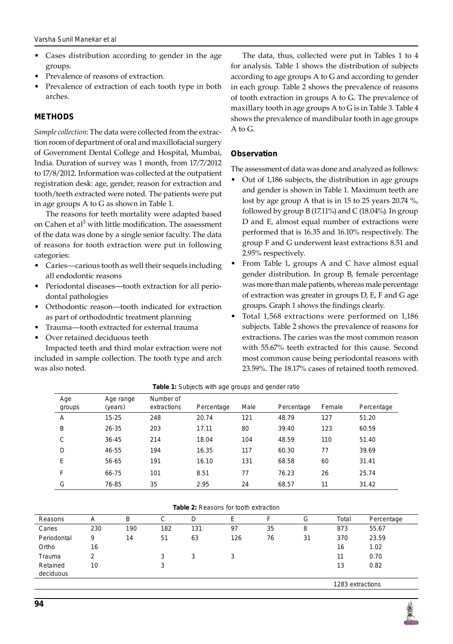- Cases distribution according to gender in the age groups.
- Prevalence of reasons of extraction.
- Prevalence of extraction of each tooth type in both arches.

## **Methods**

*Sample collection*: The data were collected from the extraction room of department of oral and maxillofacial surgery of Government Dental College and Hospital, Mumbai, India. Duration of survey was 1 month, from 17/7/2012 to 17/8/2012. Information was collected at the outpatient registration desk: age, gender, reason for extraction and tooth/teeth extracted were noted. The patients were put in age groups A to G as shown in Table 1.

The reasons for teeth mortality were adapted based on Cahen et al<sup>3</sup> with little modification. The assessment of the data was done by a single senior faculty. The data of reasons for tooth extraction were put in following categories:

- Caries—carious tooth as well their sequels including all endodontic reasons
- Periodontal diseases—tooth extraction for all periodontal pathologies
- Orthodontic reason—tooth indicated for extraction as part of orthododntic treatment planning
- Trauma—tooth extracted for external trauma
- Over retained deciduous teeth

Impacted teeth and third molar extraction were not included in sample collection. The tooth type and arch was also noted.

The data, thus, collected were put in Tables 1 to 4 for analysis. Table 1 shows the distribution of subjects according to age groups A to G and according to gender in each group. Table 2 shows the prevalence of reasons of tooth extraction in groups A to G. The prevalence of maxillary tooth in age groups A to G is in Table 3. Table 4 shows the prevalence of mandibular tooth in age groups A to G.

## **Observation**

The assessment of data was done and analyzed as follows:

- Out of 1,186 subjects, the distribution in age groups and gender is shown in Table 1. Maximum teeth are lost by age group A that is in 15 to 25 years 20.74 %, followed by group B (17.11%) and C (18.04%). In group D and E, almost equal number of extractions were performed that is 16.35 and 16.10% respectively. The group F and G underwent least extractions 8.51 and 2.95% respectively.
- From Table 1, groups A and C have almost equal gender distribution. In group B, female percentage was more than male patients, whereas male percentage of extraction was greater in groups D, E, F and G age groups. Graph 1 shows the findings clearly.
- Total 1,568 extractions were performed on 1,186 subjects. Table 2 shows the prevalence of reasons for extractions. The caries was the most common reason with 55.67% teeth extracted for this cause. Second most common cause being periodontal reasons with 23.59%. The 18.17% cases of retained tooth removed.

| Age<br>groups | Age range<br>(years) | Number of<br>extractions | Percentage | Male | Percentage | Female | Percentage |
|---------------|----------------------|--------------------------|------------|------|------------|--------|------------|
| A             | $15 - 25$            | 248                      | 20.74      | 121  | 48.79      | 127    | 51.20      |
| B             | 26-35                | 203                      | 17.11      | 80   | 39.40      | 123    | 60.59      |
| C             | 36-45                | 214                      | 18.04      | 104  | 48.59      | 110    | 51.40      |
| D             | 46-55                | 194                      | 16.35      | 117  | 60.30      | 77     | 39.69      |
| E             | 56-65                | 191                      | 16.10      | 131  | 68.58      | 60     | 31.41      |
| F             | 66-75                | 101                      | 8.51       | 77   | 76.23      | 26     | 25.74      |
| G             | 76-85                | 35                       | 2.95       | 24   | 68.57      | 11     | 31.42      |

#### **Table 1:** Subjects with age groups and gender ratio

#### **Table 2:** Reasons for tooth extraction

| Reasons               | Α   | В   | C      | D   | F   |    | G  | Total            | Percentage |  |
|-----------------------|-----|-----|--------|-----|-----|----|----|------------------|------------|--|
| Caries                | 230 | 190 | 182    | 131 | 97  | 35 | 8  | 873              | 55.67      |  |
| Periodontal           | 9   | 14  | 51     | 63  | 126 | 76 | 31 | 370              | 23.59      |  |
| Ortho                 | 16  |     |        |     |     |    |    | 16               | 1.02       |  |
| Trauma                | 2   |     | 3      | 3   | 3   |    |    | 11               | 0.70       |  |
| Retained<br>deciduous | 10  |     | ົ<br>د |     |     |    |    | 13               | 0.82       |  |
|                       |     |     |        |     |     |    |    | 1283 extractions |            |  |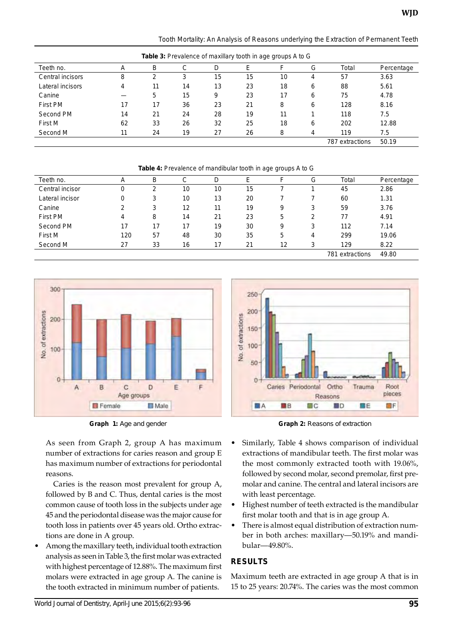*Tooth Mortality: An Analysis of Reasons underlying the Extraction of Permanent Teeth*

| <b>Table 3:</b> Prevalence of maxillary tooth in age groups A to G |    |    |    |    |    |    |   |                 |            |
|--------------------------------------------------------------------|----|----|----|----|----|----|---|-----------------|------------|
| Teeth no.                                                          | А  | B  | С  | D  | Ε  |    | G | Total           | Percentage |
| Central incisors                                                   | 8  | ົ  | 3  | 15 | 15 | 10 | 4 | 57              | 3.63       |
| Lateral incisors                                                   | 4  | 11 | 14 | 13 | 23 | 18 | 6 | 88              | 5.61       |
| Canine                                                             |    | 5  | 15 | 9  | 23 | 17 | 6 | 75              | 4.78       |
| First PM                                                           | 17 | 17 | 36 | 23 | 21 | 8  | 6 | 128             | 8.16       |
| Second PM                                                          | 14 | 21 | 24 | 28 | 19 | 11 |   | 118             | 7.5        |
| First M                                                            | 62 | 33 | 26 | 32 | 25 | 18 | 6 | 202             | 12.88      |
| Second M                                                           | 11 | 24 | 19 | 27 | 26 | 8  | 4 | 119             | 7.5        |
|                                                                    |    |    |    |    |    |    |   | 787 extractions | 50.19      |

**Table 4:** Prevalence of mandibular tooth in age groups A to G

| Teeth no.       | Α   | В  | С  | D  | E  | F  | G | Total           | Percentage |
|-----------------|-----|----|----|----|----|----|---|-----------------|------------|
| Central incisor |     | 2  | 10 | 10 | 15 |    |   | 45              | 2.86       |
| Lateral incisor |     | 3  | 10 | 13 | 20 |    |   | 60              | 1.31       |
| Canine          | っ   | 3  | 12 | 11 | 19 | 9  | 3 | 59              | 3.76       |
| First PM        | 4   | 8  | 14 | 21 | 23 | 5  | 2 | 77              | 4.91       |
| Second PM       | 17  | 17 | 17 | 19 | 30 | 9  | 3 | 112             | 7.14       |
| First M         | 120 | 57 | 48 | 30 | 35 | 5  | 4 | 299             | 19.06      |
| Second M        | 27  | 33 | 16 | 17 | 21 | 12 | 3 | 129             | 8.22       |
|                 |     |    |    |    |    |    |   | 781 extractions | 49.80      |



As seen from Graph 2, group A has maximum number of extractions for caries reason and group E has maximum number of extractions for periodontal reasons.

Caries is the reason most prevalent for group A, followed by B and C. Thus, dental caries is the most common cause of tooth loss in the subjects under age 45 and the periodontal disease was the major cause for tooth loss in patients over 45 years old. Ortho extractions are done in A group.

• Among the maxillary teeth, individual tooth extraction analysis as seen in Table 3, the first molar was extracted with highest percentage of 12.88%. The maximum first molars were extracted in age group A. The canine is the tooth extracted in minimum number of patients.



**Graph 1:** Age and gender **Graph 2:** Reasons of extraction

- Similarly, Table 4 shows comparison of individual extractions of mandibular teeth. The first molar was the most commonly extracted tooth with 19.06%, followed by second molar, second premolar, first premolar and canine. The central and lateral incisors are with least percentage.
- Highest number of teeth extracted is the mandibular first molar tooth and that is in age group A.
- There is almost equal distribution of extraction number in both arches: maxillary—50.19% and mandibular—49.80%.

## **Results**

Maximum teeth are extracted in age group A that is in 15 to 25 years: 20.74%. The caries was the most common